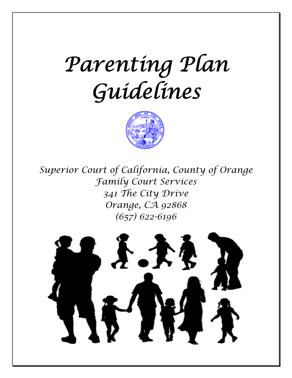# *Parenting Plan Guidelines*



*Superior Court of California, County of Orange Family Court Services 341 The City Drive Orange, CA 92868 (657) 622-6196* 

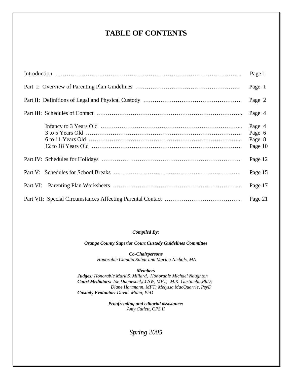# **TABLE OF CONTENTS**

| Page 1                                |
|---------------------------------------|
| Page 1                                |
| Page 2                                |
| Page 4                                |
| Page 4<br>Page 6<br>Page 8<br>Page 10 |
| Page 12                               |
| Page 15                               |
| Page 17                               |
| Page 21                               |

*Compiled By:* 

*Orange County Superior Court Custody Guidelines Committee* 

*Co-Chairpersons Honorable Claudia Silbar and Marina Nichols, MA* 

#### *Members*

*Judges: Honorable Mark S. Millard, Honorable Michael Naughton Court Mediators: Joe Duquesnel,LCSW, MFT; M.K. Gustinella,PhD; Diane Hartmann, MFT; Melyssa MacQuarrie, PsyD Custody Evaluator: David Mann, PhD* 

> *Proofreading and editorial assistance: Amy Catlett, CPS II*

> > *Spring 2005*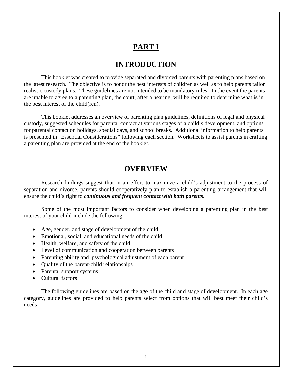### **PART I**

### **INTRODUCTION**

This booklet was created to provide separated and divorced parents with parenting plans based on the latest research. The objective is to honor the best interests of children as well as to help parents tailor realistic custody plans. These guidelines are not intended to be mandatory rules. In the event the parents are unable to agree to a parenting plan, the court, after a hearing, will be required to determine what is in the best interest of the child(ren).

This booklet addresses an overview of parenting plan guidelines, definitions of legal and physical custody, suggested schedules for parental contact at various stages of a child's development, and options for parental contact on holidays, special days, and school breaks. Additional information to help parents is presented in "Essential Considerations" following each section. Worksheets to assist parents in crafting a parenting plan are provided at the end of the booklet.

### **OVERVIEW**

Research findings suggest that in an effort to maximize a child's adjustment to the process of separation and divorce, parents should cooperatively plan to establish a parenting arrangement that will ensure the child's right to *continuous and frequent contact with both parents***.**

Some of the most important factors to consider when developing a parenting plan in the best interest of your child include the following:

- Age, gender, and stage of development of the child
- Emotional, social, and educational needs of the child
- Health, welfare, and safety of the child
- Level of communication and cooperation between parents
- Parenting ability and psychological adjustment of each parent
- Quality of the parent-child relationships
- Parental support systems
- Cultural factors

 The following guidelines are based on the age of the child and stage of development. In each age category, guidelines are provided to help parents select from options that will best meet their child's needs.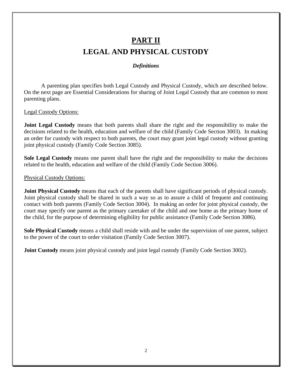# **PART II LEGAL AND PHYSICAL CUSTODY**

### *Definitions*

 A parenting plan specifies both Legal Custody and Physical Custody, which are described below. On the next page are Essential Considerations for sharing of Joint Legal Custody that are common to most parenting plans.

Legal Custody Options:

**Joint Legal Custody** means that both parents shall share the right and the responsibility to make the decisions related to the health, education and welfare of the child (Family Code Section 3003). In making an order for custody with respect to both parents, the court may grant joint legal custody without granting joint physical custody (Family Code Section 3085).

**Sole Legal Custody** means one parent shall have the right and the responsibility to make the decisions related to the health, education and welfare of the child (Family Code Section 3006).

Physical Custody Options:

**Joint Physical Custody** means that each of the parents shall have significant periods of physical custody. Joint physical custody shall be shared in such a way so as to assure a child of frequent and continuing contact with both parents (Family Code Section 3004). In making an order for joint physical custody, the court may specify one parent as the primary caretaker of the child and one home as the primary home of the child, for the purpose of determining eligibility for public assistance (Family Code Section 3086).

**Sole Physical Custody** means a child shall reside with and be under the supervision of one parent, subject to the power of the court to order visitation (Family Code Section 3007).

**Joint Custody** means joint physical custody and joint legal custody (Family Code Section 3002).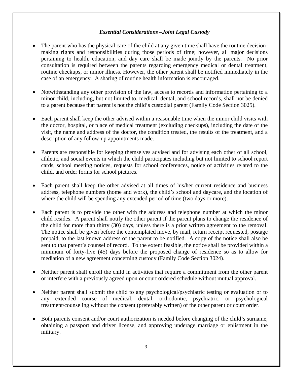### *Essential Considerations –Joint Legal Custody*

- The parent who has the physical care of the child at any given time shall have the routine decisionmaking rights and responsibilities during those periods of time; however, all major decisions pertaining to health, education, and day care shall be made jointly by the parents. No prior consultation is required between the parents regarding emergency medical or dental treatment, routine checkups, or minor illness. However, the other parent shall be notified immediately in the case of an emergency. A sharing of routine health information is encouraged.
- Notwithstanding any other provision of the law, access to records and information pertaining to a minor child, including, but not limited to, medical, dental, and school records, shall not be denied to a parent because that parent is not the child's custodial parent (Family Code Section 3025).
- Each parent shall keep the other advised within a reasonable time when the minor child visits with the doctor, hospital, or place of medical treatment (excluding checkups), including the date of the visit, the name and address of the doctor, the condition treated, the results of the treatment, and a description of any follow-up appointments made.
- Parents are responsible for keeping themselves advised and for advising each other of all school, athletic, and social events in which the child participates including but not limited to school report cards, school meeting notices, requests for school conferences, notice of activities related to the child, and order forms for school pictures.
- Each parent shall keep the other advised at all times of his/her current residence and business address, telephone numbers (home and work), the child's school and daycare, and the location of where the child will be spending any extended period of time (two days or more).
- Each parent is to provide the other with the address and telephone number at which the minor child resides. A parent shall notify the other parent if the parent plans to change the residence of the child for more than thirty (30) days, unless there is a prior written agreement to the removal. The notice shall be given before the contemplated move, by mail, return receipt requested, postage prepaid, to the last known address of the parent to be notified. A copy of the notice shall also be sent to that parent's counsel of record. To the extent feasible, the notice shall be provided within a minimum of forty-five (45) days before the proposed change of residence so as to allow for mediation of a new agreement concerning custody (Family Code Section 3024).
- Neither parent shall enroll the child in activities that require a commitment from the other parent or interfere with a previously agreed upon or court ordered schedule without mutual approval.
- Neither parent shall submit the child to any psychological/psychiatric testing or evaluation or to any extended course of medical, dental, orthodontic, psychiatric, or psychological treatment/counseling without the consent (preferably written) of the other parent or court order.
- Both parents consent and/or court authorization is needed before changing of the child's surname, obtaining a passport and driver license, and approving underage marriage or enlistment in the military.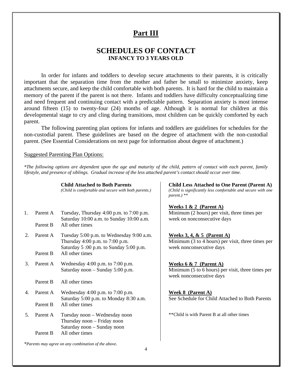### **Part III**

### **SCHEDULES OF CONTACT INFANCY TO 3 YEARS OLD**

 In order for infants and toddlers to develop secure attachments to their parents, it is critically important that the separation time from the mother and father be small to minimize anxiety, keep attachments secure, and keep the child comfortable with both parents. It is hard for the child to maintain a memory of the parent if the parent is not there. Infants and toddlers have difficulty conceptualizing time and need frequent and continuing contact with a predictable pattern. Separation anxiety is most intense around fifteen (15) to twenty-four (24) months of age. Although it is normal for children at this developmental stage to cry and cling during transitions, most children can be quickly comforted by each parent.

 The following parenting plan options for infants and toddlers are guidelines for schedules for the non-custodial parent. These guidelines are based on the degree of attachment with the non-custodial parent. (See Essential Considerations on next page for information about degree of attachment.)

#### Suggested Parenting Plan Options:

*\*The following options are dependent upon the age and maturity of the child, pattern of contact with each parent, family lifestyle, and presence of siblings. Gradual increase of the less attached parent's contact should occur over time.* 

#### **Child Attached to Both Parents**

*(Child is comfortable and secure with both parents.)*

- 1. Parent A Tuesday, Thursday 4:00 p.m. to 7:00 p.m. Saturday 10:00 a.m. to Sunday 10:00 a.m. Parent B All other times
- 2. Parent A Tuesday 5:00 p.m. to Wednesday 9:00 a.m. Thursday 4:00 p.m. to 7:00 p.m. Saturday 5 :00 p.m. to Sunday 5:00 p.m. Parent B All other times
- 3. Parent A Wednesday 4:00 p.m. to 7:00 p.m. Saturday noon – Sunday 5:00 p.m.

Parent B All other times

- 4. Parent A Wednesday 4:00 p.m. to 7:00 p.m. Saturday 5:00 p.m. to Monday 8:30 a.m. Parent B All other times
- 5. Parent A Tuesday noon Wednesday noon Thursday noon – Friday noon Saturday noon – Sunday noon Parent B All other times

 **Child Less Attached to One Parent (Parent A)**  *(Child is significantly less comfortable and secure with one parent.) \*\** 

#### **Weeks 1 & 2 (Parent A)**

Minimum (2 hours) per visit, three times per week on nonconsecutive days

#### **Weeks 3, 4, & 5 (Parent A)** Minimum (3 to 4 hours) per visit, three times per week nonconsecutive days

**Weeks 6 & 7 (Parent A)** Minimum (5 to 6 hours) per visit, three times per week nonconsecutive days

**Week 8 (Parent A)** See Schedule for Child Attached to Both Parents

\*\*Child is with Parent B at all other times

*\*Parents may agree on any combination of the above.*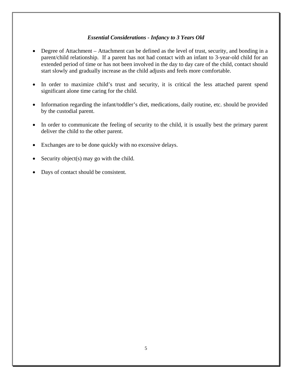### *Essential Considerations - Infancy to 3 Years Old*

- Degree of Attachment Attachment can be defined as the level of trust, security, and bonding in a parent/child relationship. If a parent has not had contact with an infant to 3-year-old child for an extended period of time or has not been involved in the day to day care of the child, contact should start slowly and gradually increase as the child adjusts and feels more comfortable.
- In order to maximize child's trust and security, it is critical the less attached parent spend significant alone time caring for the child.
- Information regarding the infant/toddler's diet, medications, daily routine, etc. should be provided by the custodial parent.
- In order to communicate the feeling of security to the child, it is usually best the primary parent deliver the child to the other parent.
- Exchanges are to be done quickly with no excessive delays.
- Security object(s) may go with the child.
- Days of contact should be consistent.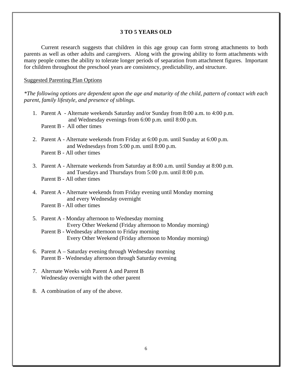### **3 TO 5 YEARS OLD**

Current research suggests that children in this age group can form strong attachments to both parents as well as other adults and caregivers. Along with the growing ability to form attachments with many people comes the ability to tolerate longer periods of separation from attachment figures. Important for children throughout the preschool years are consistency, predictability, and structure.

#### Suggested Parenting Plan Options

*\*The following options are dependent upon the age and maturity of the child, pattern of contact with each parent, family lifestyle, and presence of siblings.* 

- 1. Parent A Alternate weekends Saturday and/or Sunday from 8:00 a.m. to 4:00 p.m. and Wednesday evenings from 6:00 p.m. until 8:00 p.m. Parent B - All other times
- 2. Parent A Alternate weekends from Friday at 6:00 p.m. until Sunday at 6:00 p.m. and Wednesdays from 5:00 p.m. until 8:00 p.m. Parent B - All other times
- 3. Parent A Alternate weekends from Saturday at 8:00 a.m. until Sunday at 8:00 p.m. and Tuesdays and Thursdays from 5:00 p.m. until 8:00 p.m.
	- Parent B All other times
- 4. Parent A Alternate weekends from Friday evening until Monday morning and every Wednesday overnight
	- Parent B All other times
- 5. Parent A Monday afternoon to Wednesday morning Every Other Weekend (Friday afternoon to Monday morning) Parent B - Wednesday afternoon to Friday morning
	- Every Other Weekend (Friday afternoon to Monday morning)
- 6. Parent A Saturday evening through Wednesday morning Parent B - Wednesday afternoon through Saturday evening
- 7. Alternate Weeks with Parent A and Parent B Wednesday overnight with the other parent
- 8. A combination of any of the above.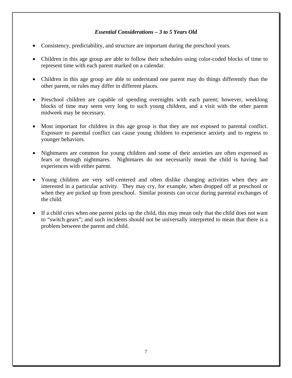### *Essential Considerations – 3 to 5 Years Old*

- Consistency, predictability, and structure are important during the preschool years.
- Children in this age group are able to follow their schedules using color-coded blocks of time to represent time with each parent marked on a calendar.
- Children in this age group are able to understand one parent may do things differently than the other parent, or rules may differ in different places.
- Preschool children are capable of spending overnights with each parent; however, weeklong blocks of time may seem very long to such young children, and a visit with the other parent midweek may be necessary.
- Most important for children in this age group is that they are not exposed to parental conflict. Exposure to parental conflict can cause young children to experience anxiety and to regress to younger behaviors.
- Nightmares are common for young children and some of their anxieties are often expressed as fears or through nightmares. Nightmares do not necessarily mean the child is having bad experiences with either parent.
- Young children are very self-centered and often dislike changing activities when they are interested in a particular activity. They may cry, for example, when dropped off at preschool or when they are picked up from preschool. Similar protests can occur during parental exchanges of the child.
- If a child cries when one parent picks up the child, this may mean only that the child does not want to "switch gears"; and such incidents should not be universally interpreted to mean that there is a problem between the parent and child.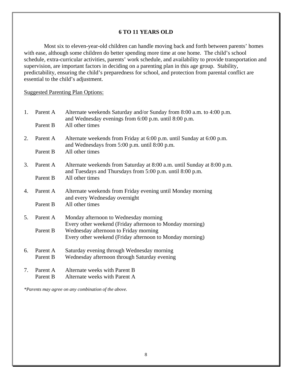### **6 TO 11 YEARS OLD**

 Most six to eleven-year-old children can handle moving back and forth between parents' homes with ease, although some children do better spending more time at one home. The child's school schedule, extra-curricular activities, parents' work schedule, and availability to provide transportation and supervision, are important factors in deciding on a parenting plan in this age group. Stability, predictability, ensuring the child's preparedness for school, and protection from parental conflict are essential to the child's adjustment.

Suggested Parenting Plan Options:

| 1. | Parent A<br>Parent B | Alternate weekends Saturday and/or Sunday from 8:00 a.m. to 4:00 p.m.<br>and Wednesday evenings from 6:00 p.m. until 8:00 p.m.<br>All other times |
|----|----------------------|---------------------------------------------------------------------------------------------------------------------------------------------------|
| 2. | Parent A             | Alternate weekends from Friday at 6:00 p.m. until Sunday at 6:00 p.m.<br>and Wednesdays from 5:00 p.m. until 8:00 p.m.                            |
|    | Parent B             | All other times                                                                                                                                   |
| 3. | Parent A             | Alternate weekends from Saturday at 8:00 a.m. until Sunday at 8:00 p.m.<br>and Tuesdays and Thursdays from 5:00 p.m. until 8:00 p.m.              |
|    | Parent B             | All other times                                                                                                                                   |
| 4. | Parent A             | Alternate weekends from Friday evening until Monday morning<br>and every Wednesday overnight                                                      |
|    | Parent B             | All other times                                                                                                                                   |
| 5. | Parent A             | Monday afternoon to Wednesday morning                                                                                                             |
|    | Parent B             | Every other weekend (Friday afternoon to Monday morning)<br>Wednesday afternoon to Friday morning                                                 |
|    |                      | Every other weekend (Friday afternoon to Monday morning)                                                                                          |
| 6. | Parent A             | Saturday evening through Wednesday morning                                                                                                        |
|    | Parent B             | Wednesday afternoon through Saturday evening                                                                                                      |
| 7. | Parent A<br>Parent B | Alternate weeks with Parent B<br>Alternate weeks with Parent A                                                                                    |

*\*Parents may agree on any combination of the above.*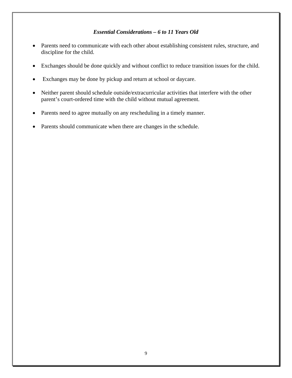### *Essential Considerations – 6 to 11 Years Old*

- Parents need to communicate with each other about establishing consistent rules, structure, and discipline for the child.
- Exchanges should be done quickly and without conflict to reduce transition issues for the child.
- Exchanges may be done by pickup and return at school or daycare.
- Neither parent should schedule outside/extracurricular activities that interfere with the other parent's court-ordered time with the child without mutual agreement.
- Parents need to agree mutually on any rescheduling in a timely manner.
- Parents should communicate when there are changes in the schedule.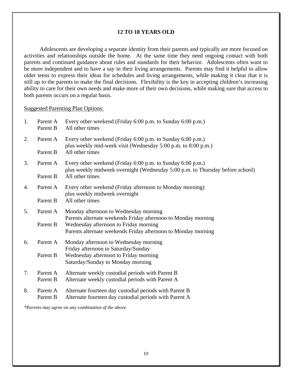### **12 TO 18 YEARS OLD**

 Adolescents are developing a separate identity from their parents and typically are more focused on activities and relationships outside the home. At the same time they need ongoing contact with both parents and continued guidance about rules and standards for their behavior. Adolescents often want to be more independent and to have a say in their living arrangements. Parents may find it helpful to allow older teens to express their ideas for schedules and living arrangements, while making it clear that it is still up to the parents to make the final decisions. Flexibility is the key in accepting children's increasing ability to care for their own needs and make more of their own decisions, while making sure that access to both parents occurs on a regular basis.

#### Suggested Parenting Plan Options:

| 1. | Parent A<br>Parent B | Every other weekend (Friday 6:00 p.m. to Sunday 6:00 p.m.)<br>All other times                                                               |
|----|----------------------|---------------------------------------------------------------------------------------------------------------------------------------------|
| 2. | Parent A             | Every other weekend (Friday 6:00 p.m. to Sunday 6:00 p.m.)<br>plus weekly mid-week visit (Wednesday 5:00 p.m. to 8:00 p.m.)                 |
|    | Parent B             | All other times                                                                                                                             |
| 3. | Parent A             | Every other weekend (Friday 6:00 p.m. to Sunday 6:00 p.m.)<br>plus weekly midweek overnight (Wednesday 5:00 p.m. to Thursday before school) |
|    | Parent B             | All other times                                                                                                                             |
| 4. | Parent A             | Every other weekend (Friday afternoon to Monday morning)<br>plus weekly midweek overnight                                                   |
|    | Parent B             | All other times                                                                                                                             |
| 5. | Parent A             | Monday afternoon to Wednesday morning<br>Parents alternate weekends Friday afternoon to Monday morning                                      |
|    | Parent B             | Wednesday afternoon to Friday morning<br>Parents alternate weekends Friday afternoon to Monday morning                                      |
| 6. | Parent A             | Monday afternoon to Wednesday morning<br>Friday afternoon to Saturday/Sunday                                                                |
|    | Parent B             | Wednesday afternoon to Friday morning<br>Saturday/Sunday to Monday morning                                                                  |
| 7. | Parent A<br>Parent B | Alternate weekly custodial periods with Parent B<br>Alternate weekly custodial periods with Parent A                                        |
| 8. | Parent A<br>Parent B | Alternate fourteen day custodial periods with Parent B<br>Alternate fourteen day custodial periods with Parent A                            |
|    |                      |                                                                                                                                             |

*\*Parents may agree on any combination of the above.*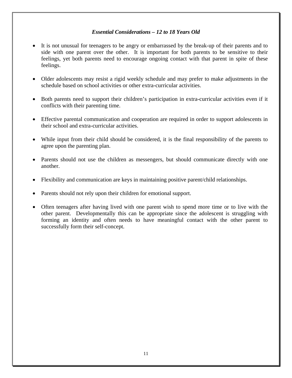### *Essential Considerations – 12 to 18 Years Old*

- It is not unusual for teenagers to be angry or embarrassed by the break-up of their parents and to side with one parent over the other. It is important for both parents to be sensitive to their feelings, yet both parents need to encourage ongoing contact with that parent in spite of these feelings.
- Older adolescents may resist a rigid weekly schedule and may prefer to make adjustments in the schedule based on school activities or other extra-curricular activities.
- Both parents need to support their children's participation in extra-curricular activities even if it conflicts with their parenting time.
- Effective parental communication and cooperation are required in order to support adolescents in their school and extra-curricular activities.
- While input from their child should be considered, it is the final responsibility of the parents to agree upon the parenting plan.
- Parents should not use the children as messengers, but should communicate directly with one another.
- Flexibility and communication are keys in maintaining positive parent/child relationships.
- Parents should not rely upon their children for emotional support.
- Often teenagers after having lived with one parent wish to spend more time or to live with the other parent. Developmentally this can be appropriate since the adolescent is struggling with forming an identity and often needs to have meaningful contact with the other parent to successfully form their self-concept.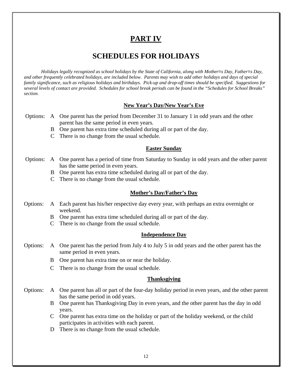# **PART IV**

### **SCHEDULES FOR HOLIDAYS**

*Holidays legally recognized as school holidays by the State of California, along with Mother=s Day, Father=s Day, and other frequently celebrated holidays, are included below. Parents may wish to add other holidays and days of special family significance, such as religious holidays and birthdays. Pick-up and drop-off times should be specified. Suggestions for several levels of contact are provided. Schedules for school break periods can be found in the "Schedules for School Breaks" section.* 

### **New Year's Day/New Year's Eve**

- Options: A One parent has the period from December 31 to January 1 in odd years and the other parent has the same period in even years.
	- B One parent has extra time scheduled during all or part of the day.
	- C There is no change from the usual schedule.

### **Easter Sunday**

- Options: A One parent has a period of time from Saturday to Sunday in odd years and the other parent has the same period in even years.
	- B One parent has extra time scheduled during all or part of the day.
	- C There is no change from the usual schedule.

### **Mother's Day/Father's Day**

- Options: A Each parent has his/her respective day every year, with perhaps an extra overnight or weekend.
	- B One parent has extra time scheduled during all or part of the day.
	- C There is no change from the usual schedule.

### **Independence Day**

- Options: A One parent has the period from July 4 to July 5 in odd years and the other parent has the same period in even years.
	- B One parent has extra time on or near the holiday.
	- C There is no change from the usual schedule.

### **Thanksgiving**

- Options: A One parent has all or part of the four-day holiday period in even years, and the other parent has the same period in odd years.
	- B One parent has Thanksgiving Day in even years, and the other parent has the day in odd years.
	- C One parent has extra time on the holiday or part of the holiday weekend, or the child participates in activities with each parent.
	- D There is no change from the usual schedule.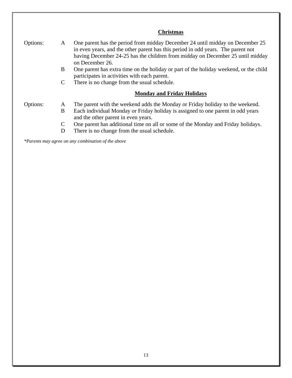|          |               | <b>Christmas</b>                                                                                                                                                                                                                                                       |
|----------|---------------|------------------------------------------------------------------------------------------------------------------------------------------------------------------------------------------------------------------------------------------------------------------------|
| Options: | A             | One parent has the period from midday December 24 until midday on December 25<br>in even years, and the other parent has this period in odd years. The parent not<br>having December 24-25 has the children from midday on December 25 until midday<br>on December 26. |
|          | B             | One parent has extra time on the holiday or part of the holiday weekend, or the child<br>participates in activities with each parent.                                                                                                                                  |
|          | $\mathcal{C}$ | There is no change from the usual schedule.                                                                                                                                                                                                                            |
|          |               | <b>Monday and Friday Holidays</b>                                                                                                                                                                                                                                      |
| Options: | A             | The parent with the weekend adds the Monday or Friday holiday to the weekend.                                                                                                                                                                                          |
|          | B             | Each individual Monday or Friday holiday is assigned to one parent in odd years<br>and the other parent in even years.                                                                                                                                                 |
|          | $\mathcal{C}$ | One parent has additional time on all or some of the Monday and Friday holidays.                                                                                                                                                                                       |
|          | D             | There is no change from the usual schedule.                                                                                                                                                                                                                            |

*\*Parents may agree on any combination of the above*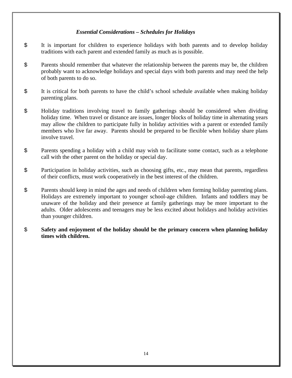### *Essential Considerations – Schedules for Holidays*

- \$ It is important for children to experience holidays with both parents and to develop holiday traditions with each parent and extended family as much as is possible.
- \$ Parents should remember that whatever the relationship between the parents may be, the children probably want to acknowledge holidays and special days with both parents and may need the help of both parents to do so.
- \$ It is critical for both parents to have the child's school schedule available when making holiday parenting plans.
- \$ Holiday traditions involving travel to family gatherings should be considered when dividing holiday time. When travel or distance are issues, longer blocks of holiday time in alternating years may allow the children to participate fully in holiday activities with a parent or extended family members who live far away. Parents should be prepared to be flexible when holiday share plans involve travel.
- \$ Parents spending a holiday with a child may wish to facilitate some contact, such as a telephone call with the other parent on the holiday or special day.
- \$ Participation in holiday activities, such as choosing gifts, etc., may mean that parents, regardless of their conflicts, must work cooperatively in the best interest of the children.
- \$ Parents should keep in mind the ages and needs of children when forming holiday parenting plans. Holidays are extremely important to younger school-age children. Infants and toddlers may be unaware of the holiday and their presence at family gatherings may be more important to the adults. Older adolescents and teenagers may be less excited about holidays and holiday activities than younger children.
- \$ **Safety and enjoyment of the holiday should be the primary concern when planning holiday times with children.**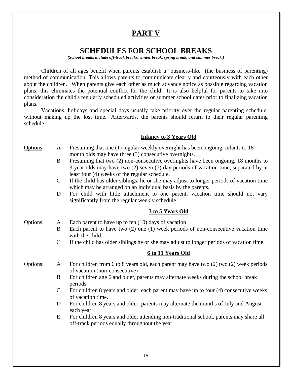## **PART V**

### **SCHEDULES FOR SCHOOL BREAKS**

*(School breaks include off-track breaks, winter break, spring break, and summer break.)* 

Children of all ages benefit when parents establish a "business-like" (the business of parenting) method of communication. This allows parents to communicate clearly and courteously with each other about the children. When parents give each other as much advance notice as possible regarding vacation plans, this eliminates the potential conflict for the child. It is also helpful for parents to take into consideration the child's regularly scheduled activities or summer school dates prior to finalizing vacation plans.

Vacations, holidays and special days usually take priority over the regular parenting schedule, without making up the lost time. Afterwards, the parents should return to their regular parenting schedule.

### **Infancy to 3 Years Old**

- Options: A Presuming that one (1) regular weekly overnight has been ongoing, infants to 18 month olds may have three (3) consecutive overnights.
	- B Presuming that two (2) non-consecutive overnights have been ongoing, 18 months to 3 year olds may have two (2) seven (7) day periods of vacation time, separated by at least four (4) weeks of the regular schedule.
	- C If the child has older siblings, he or she may adjust to longer periods of vacation time which may be arranged on an individual basis by the parents.
	- D For child with little attachment to one parent, vacation time should not vary significantly from the regular weekly schedule.

### **3 to 5 Years Old**

Options: A Each parent to have up to ten (10) days of vacation

- B Each parent to have two (2) one (1) week periods of non-consecutive vacation time with the child.
- C If the child has older siblings he or she may adjust to longer periods of vacation time.

### **6 to 11 Years Old**

Options: A For children from 6 to 8 years old, each parent may have two (2) two (2) week periods of vacation (non-consecutive)

- B For children age 6 and older, parents may alternate weeks during the school break periods
- C For children 8 years and older, each parent may have up to four (4) consecutive weeks of vacation time.
- D For children 8 years and older, parents may alternate the months of July and August each year.
- E For children 8 years and older attending non-traditional school, parents may share all off-track periods equally throughout the year.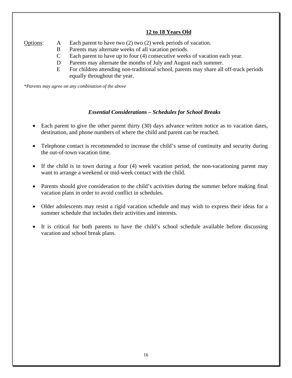### **12 to 18 Years Old**

Options: A Each parent to have two (2) two (2) week periods of vacation.

- B Parents may alternate weeks of all vacation periods.
- C Each parent to have up to four (4) consecutive weeks of vacation each year.
- D Parents may alternate the months of July and August each summer.
- E For children attending non-traditional school, parents may share all off-track periods equally throughout the year.

*\*Parents may agree on any combination of the above* 

### *Essential Considerations – Schedules for School Breaks*

- Each parent to give the other parent thirty (30) days advance written notice as to vacation dates, destination, and phone numbers of where the child and parent can be reached.
- Telephone contact is recommended to increase the child's sense of continuity and security during the out-of-town vacation time.
- If the child is in town during a four (4) week vacation period, the non-vacationing parent may want to arrange a weekend or mid-week contact with the child.
- Parents should give consideration to the child's activities during the summer before making final vacation plans in order to avoid conflict in schedules.
- Older adolescents may resist a rigid vacation schedule and may wish to express their ideas for a summer schedule that includes their activities and interests.
- It is critical for both parents to have the child's school schedule available before discussing vacation and school break plans.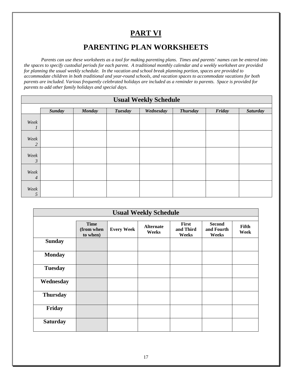# **PART VI**

### **PARENTING PLAN WORKSHEETS**

*Parents can use these worksheets as a tool for making parenting plans. Times and parents' names can be entered into the spaces to specify custodial periods for each parent. A traditional monthly calendar and a weekly worksheet are provided for planning the usual weekly schedule. In the vacation and school break planning portion, spaces are provided to accommodate children in both traditional and year-round schools, and vacation spaces to accommodate vacations for both parents are included. Various frequently celebrated holidays are included as a reminder to parents. Space is provided for parents to add other family holidays and special days.* 

| <b>Usual Weekly Schedule</b> |               |               |                |           |                 |        |                 |
|------------------------------|---------------|---------------|----------------|-----------|-----------------|--------|-----------------|
|                              | <b>Sunday</b> | <b>Monday</b> | <b>Tuesday</b> | Wednesday | <b>Thursday</b> | Friday | <b>Saturday</b> |
| Week<br>$\mathbf{I}$         |               |               |                |           |                 |        |                 |
| Week<br>$\overline{c}$       |               |               |                |           |                 |        |                 |
| Week<br>$\mathfrak{Z}$       |               |               |                |           |                 |        |                 |
| Week<br>$\overline{4}$       |               |               |                |           |                 |        |                 |
| Week<br>5                    |               |               |                |           |                 |        |                 |

| <b>Usual Weekly Schedule</b> |                                       |                   |                           |                             |                                      |               |
|------------------------------|---------------------------------------|-------------------|---------------------------|-----------------------------|--------------------------------------|---------------|
|                              | <b>Time</b><br>(from when<br>to when) | <b>Every Week</b> | <b>Alternate</b><br>Weeks | First<br>and Third<br>Weeks | <b>Second</b><br>and Fourth<br>Weeks | Fifth<br>Week |
| <b>Sunday</b>                |                                       |                   |                           |                             |                                      |               |
| <b>Monday</b>                |                                       |                   |                           |                             |                                      |               |
| <b>Tuesday</b>               |                                       |                   |                           |                             |                                      |               |
| Wednesday                    |                                       |                   |                           |                             |                                      |               |
| <b>Thursday</b>              |                                       |                   |                           |                             |                                      |               |
| Friday                       |                                       |                   |                           |                             |                                      |               |
| <b>Saturday</b>              |                                       |                   |                           |                             |                                      |               |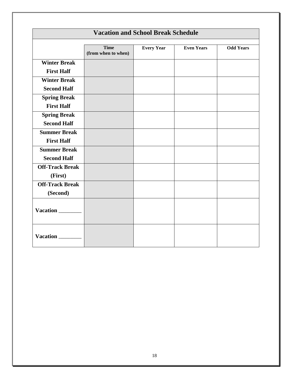| <b>Vacation and School Break Schedule</b> |                                    |                   |                   |                  |  |  |
|-------------------------------------------|------------------------------------|-------------------|-------------------|------------------|--|--|
|                                           | <b>Time</b><br>(from when to when) | <b>Every Year</b> | <b>Even Years</b> | <b>Odd Years</b> |  |  |
| <b>Winter Break</b>                       |                                    |                   |                   |                  |  |  |
| <b>First Half</b>                         |                                    |                   |                   |                  |  |  |
| <b>Winter Break</b>                       |                                    |                   |                   |                  |  |  |
| <b>Second Half</b>                        |                                    |                   |                   |                  |  |  |
| <b>Spring Break</b>                       |                                    |                   |                   |                  |  |  |
| <b>First Half</b>                         |                                    |                   |                   |                  |  |  |
| <b>Spring Break</b>                       |                                    |                   |                   |                  |  |  |
| <b>Second Half</b>                        |                                    |                   |                   |                  |  |  |
| <b>Summer Break</b>                       |                                    |                   |                   |                  |  |  |
| <b>First Half</b>                         |                                    |                   |                   |                  |  |  |
| <b>Summer Break</b>                       |                                    |                   |                   |                  |  |  |
| <b>Second Half</b>                        |                                    |                   |                   |                  |  |  |
| <b>Off-Track Break</b>                    |                                    |                   |                   |                  |  |  |
| (First)                                   |                                    |                   |                   |                  |  |  |
| <b>Off-Track Break</b>                    |                                    |                   |                   |                  |  |  |
| (Second)                                  |                                    |                   |                   |                  |  |  |
| Vacation                                  |                                    |                   |                   |                  |  |  |
| <b>Vacation</b>                           |                                    |                   |                   |                  |  |  |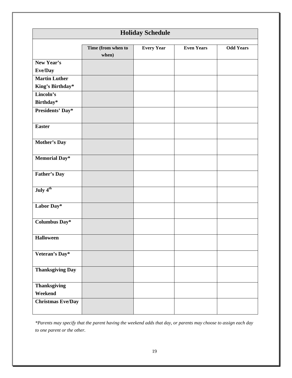|                                |                             | <b>Holiday Schedule</b> |                   |                  |
|--------------------------------|-----------------------------|-------------------------|-------------------|------------------|
|                                | Time (from when to<br>when) | <b>Every Year</b>       | <b>Even Years</b> | <b>Odd Years</b> |
| New Year's                     |                             |                         |                   |                  |
| Eve/Day                        |                             |                         |                   |                  |
| <b>Martin Luther</b>           |                             |                         |                   |                  |
| King's Birthday*               |                             |                         |                   |                  |
| Lincoln's                      |                             |                         |                   |                  |
| Birthday*                      |                             |                         |                   |                  |
| <b>Presidents' Day*</b>        |                             |                         |                   |                  |
| <b>Easter</b>                  |                             |                         |                   |                  |
| <b>Mother's Day</b>            |                             |                         |                   |                  |
| <b>Memorial Day*</b>           |                             |                         |                   |                  |
| <b>Father's Day</b>            |                             |                         |                   |                  |
| July 4 <sup>th</sup>           |                             |                         |                   |                  |
| Labor Day*                     |                             |                         |                   |                  |
| Columbus Day*                  |                             |                         |                   |                  |
| <b>Halloween</b>               |                             |                         |                   |                  |
| Veteran's Day*                 |                             |                         |                   |                  |
| <b>Thanksgiving Day</b>        |                             |                         |                   |                  |
| <b>Thanksgiving</b><br>Weekend |                             |                         |                   |                  |
| <b>Christmas Eve/Day</b>       |                             |                         |                   |                  |

*\*Parents may specify that the parent having the weekend adds that day, or parents may choose to assign each day to one parent or the other.*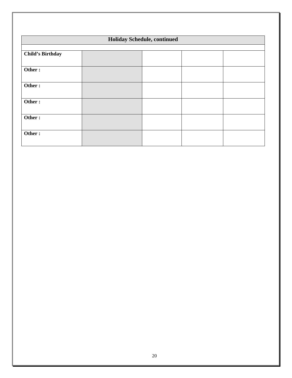| Holiday Schedule, continued |  |  |  |  |  |  |
|-----------------------------|--|--|--|--|--|--|
|                             |  |  |  |  |  |  |
|                             |  |  |  |  |  |  |
|                             |  |  |  |  |  |  |
|                             |  |  |  |  |  |  |
|                             |  |  |  |  |  |  |
|                             |  |  |  |  |  |  |
|                             |  |  |  |  |  |  |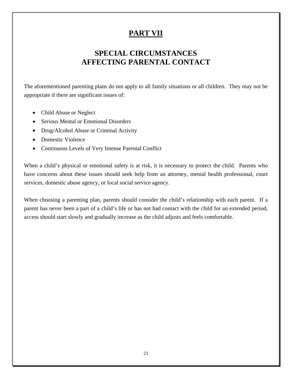# **PART VII**

# **SPECIAL CIRCUMSTANCES AFFECTING PARENTAL CONTACT**

The aforementioned parenting plans do not apply to all family situations or all children. They may not be appropriate if there are significant issues of:

- Child Abuse or Neglect
- Serious Mental or Emotional Disorders
- Drug/Alcohol Abuse or Criminal Activity
- Domestic Violence
- Continuous Levels of Very Intense Parental Conflict

When a child's physical or emotional safety is at risk, it is necessary to protect the child. Parents who have concerns about these issues should seek help from an attorney, mental health professional, court services, domestic abuse agency, or local social service agency.

When choosing a parenting plan, parents should consider the child's relationship with each parent. If a parent has never been a part of a child's life or has not had contact with the child for an extended period, access should start slowly and gradually increase as the child adjusts and feels comfortable.